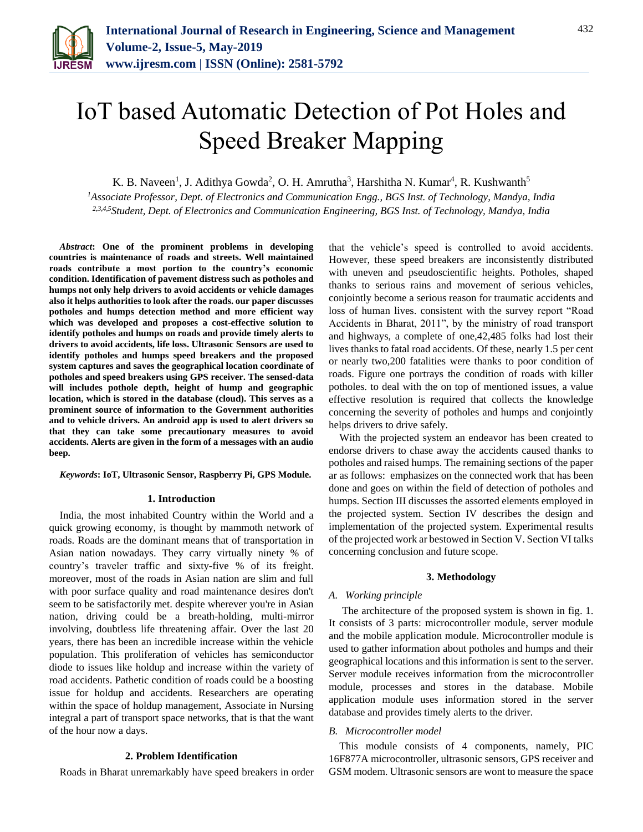

# IoT based Automatic Detection of Pot Holes and Speed Breaker Mapping

K. B. Naveen<sup>1</sup>, J. Adithya Gowda<sup>2</sup>, O. H. Amrutha<sup>3</sup>, Harshitha N. Kumar<sup>4</sup>, R. Kushwanth<sup>5</sup>

*<sup>1</sup>Associate Professor, Dept. of Electronics and Communication Engg., BGS Inst. of Technology, Mandya, India 2,3,4,5Student, Dept. of Electronics and Communication Engineering, BGS Inst. of Technology, Mandya, India*

*Abstract***: One of the prominent problems in developing countries is maintenance of roads and streets. Well maintained roads contribute a most portion to the country's economic condition. Identification of pavement distress such as potholes and humps not only help drivers to avoid accidents or vehicle damages also it helps authorities to look after the roads. our paper discusses potholes and humps detection method and more efficient way which was developed and proposes a cost-effective solution to identify potholes and humps on roads and provide timely alerts to drivers to avoid accidents, life loss. Ultrasonic Sensors are used to identify potholes and humps speed breakers and the proposed system captures and saves the geographical location coordinate of potholes and speed breakers using GPS receiver. The sensed-data will includes pothole depth, height of hump and geographic location, which is stored in the database (cloud). This serves as a prominent source of information to the Government authorities and to vehicle drivers. An android app is used to alert drivers so that they can take some precautionary measures to avoid accidents. Alerts are given in the form of a messages with an audio beep.**

#### *Keywords***: IoT, Ultrasonic Sensor, Raspberry Pi, GPS Module.**

#### **1. Introduction**

India, the most inhabited Country within the World and a quick growing economy, is thought by mammoth network of roads. Roads are the dominant means that of transportation in Asian nation nowadays. They carry virtually ninety % of country's traveler traffic and sixty-five % of its freight. moreover, most of the roads in Asian nation are slim and full with poor surface quality and road maintenance desires don't seem to be satisfactorily met. despite wherever you're in Asian nation, driving could be a breath-holding, multi-mirror involving, doubtless life threatening affair. Over the last 20 years, there has been an incredible increase within the vehicle population. This proliferation of vehicles has semiconductor diode to issues like holdup and increase within the variety of road accidents. Pathetic condition of roads could be a boosting issue for holdup and accidents. Researchers are operating within the space of holdup management, Associate in Nursing integral a part of transport space networks, that is that the want of the hour now a days.

### **2. Problem Identification**

Roads in Bharat unremarkably have speed breakers in order

that the vehicle's speed is controlled to avoid accidents. However, these speed breakers are inconsistently distributed with uneven and pseudoscientific heights. Potholes, shaped thanks to serious rains and movement of serious vehicles, conjointly become a serious reason for traumatic accidents and loss of human lives. consistent with the survey report "Road Accidents in Bharat, 2011", by the ministry of road transport and highways, a complete of one,42,485 folks had lost their lives thanks to fatal road accidents. Of these, nearly 1.5 per cent or nearly two,200 fatalities were thanks to poor condition of roads. Figure one portrays the condition of roads with killer potholes. to deal with the on top of mentioned issues, a value effective resolution is required that collects the knowledge concerning the severity of potholes and humps and conjointly helps drivers to drive safely.

With the projected system an endeavor has been created to endorse drivers to chase away the accidents caused thanks to potholes and raised humps. The remaining sections of the paper ar as follows: emphasizes on the connected work that has been done and goes on within the field of detection of potholes and humps. Section III discusses the assorted elements employed in the projected system. Section IV describes the design and implementation of the projected system. Experimental results of the projected work ar bestowed in Section V. Section VI talks concerning conclusion and future scope.

### **3. Methodology**

## *A. Working principle*

The architecture of the proposed system is shown in fig. 1. It consists of 3 parts: microcontroller module, server module and the mobile application module. Microcontroller module is used to gather information about potholes and humps and their geographical locations and this information is sent to the server. Server module receives information from the microcontroller module, processes and stores in the database. Mobile application module uses information stored in the server database and provides timely alerts to the driver.

### *B. Microcontroller model*

This module consists of 4 components, namely, PIC 16F877A microcontroller, ultrasonic sensors, GPS receiver and GSM modem. Ultrasonic sensors are wont to measure the space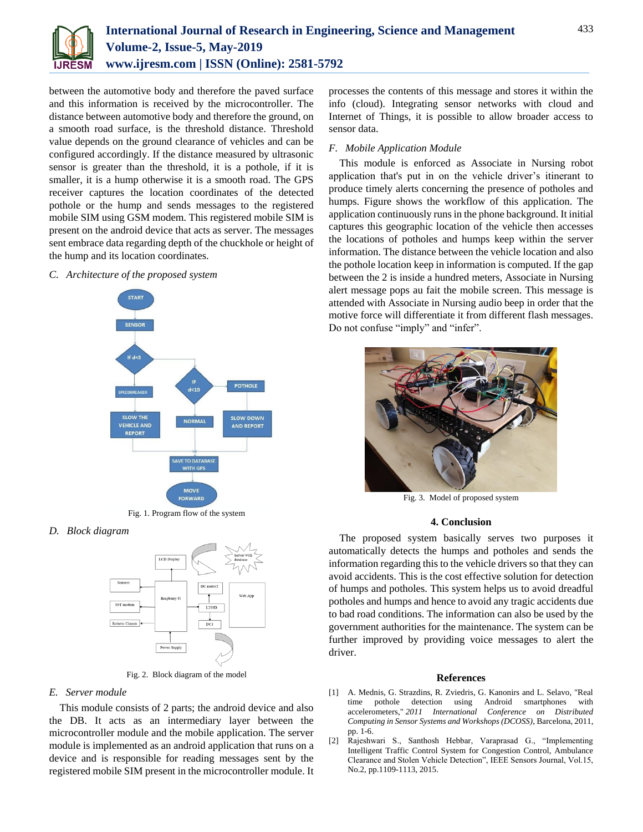

between the automotive body and therefore the paved surface and this information is received by the microcontroller. The distance between automotive body and therefore the ground, on a smooth road surface, is the threshold distance. Threshold value depends on the ground clearance of vehicles and can be configured accordingly. If the distance measured by ultrasonic sensor is greater than the threshold, it is a pothole, if it is smaller, it is a hump otherwise it is a smooth road. The GPS receiver captures the location coordinates of the detected pothole or the hump and sends messages to the registered mobile SIM using GSM modem. This registered mobile SIM is present on the android device that acts as server. The messages sent embrace data regarding depth of the chuckhole or height of the hump and its location coordinates.

### *C. Architecture of the proposed system*



Fig. 1. Program flow of the system

## *D. Block diagram*



Fig. 2. Block diagram of the model

## *E. Server module*

This module consists of 2 parts; the android device and also the DB. It acts as an intermediary layer between the microcontroller module and the mobile application. The server module is implemented as an android application that runs on a device and is responsible for reading messages sent by the registered mobile SIM present in the microcontroller module. It

processes the contents of this message and stores it within the info (cloud). Integrating sensor networks with cloud and Internet of Things, it is possible to allow broader access to sensor data.

# *F. Mobile Application Module*

This module is enforced as Associate in Nursing robot application that's put in on the vehicle driver's itinerant to produce timely alerts concerning the presence of potholes and humps. Figure shows the workflow of this application. The application continuously runs in the phone background. It initial captures this geographic location of the vehicle then accesses the locations of potholes and humps keep within the server information. The distance between the vehicle location and also the pothole location keep in information is computed. If the gap between the 2 is inside a hundred meters, Associate in Nursing alert message pops au fait the mobile screen. This message is attended with Associate in Nursing audio beep in order that the motive force will differentiate it from different flash messages. Do not confuse "imply" and "infer".



Fig. 3. Model of proposed system

## **4. Conclusion**

The proposed system basically serves two purposes it automatically detects the humps and potholes and sends the information regarding this to the vehicle drivers so that they can avoid accidents. This is the cost effective solution for detection of humps and potholes. This system helps us to avoid dreadful potholes and humps and hence to avoid any tragic accidents due to bad road conditions. The information can also be used by the government authorities for the maintenance. The system can be further improved by providing voice messages to alert the driver.

### **References**

- [1] A. Mednis, G. Strazdins, R. Zviedris, G. Kanonirs and L. Selavo, "Real time pothole detection using Android smartphones with accelerometers," *2011 International Conference on Distributed Computing in Sensor Systems and Workshops (DCOSS)*, Barcelona, 2011, pp. 1-6.
- [2] Rajeshwari S., Santhosh Hebbar, Varaprasad G., "Implementing Intelligent Traffic Control System for Congestion Control, Ambulance Clearance and Stolen Vehicle Detection", IEEE Sensors Journal, Vol.15, No.2, pp.1109-1113, 2015.